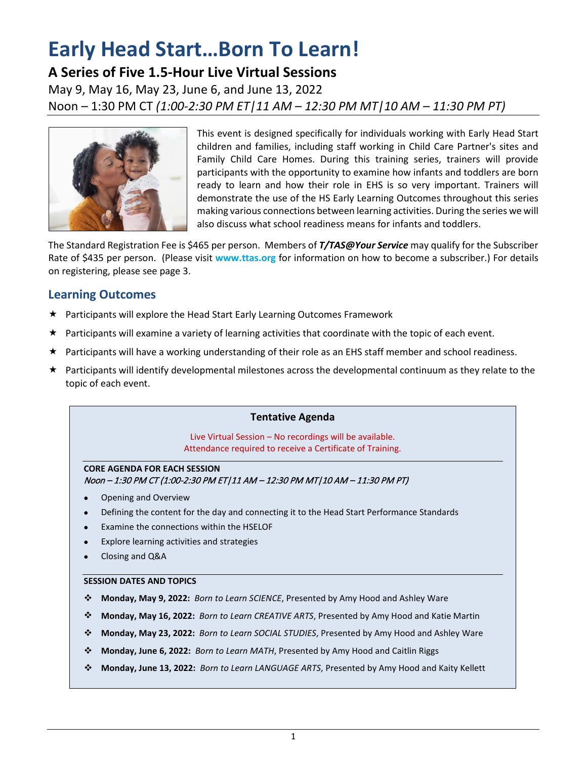# **Early Head Start…Born To Learn!**

# **A Series of Five 1.5-Hour Live Virtual Sessions**

May 9, May 16, May 23, June 6, and June 13, 2022 Noon – 1:30 PM CT *(1:00-2:30 PM ET|11 AM – 12:30 PM MT|10 AM – 11:30 PM PT)*



This event is designed specifically for individuals working with Early Head Start children and families, including staff working in Child Care Partner's sites and Family Child Care Homes. During this training series, trainers will provide participants with the opportunity to examine how infants and toddlers are born ready to learn and how their role in EHS is so very important. Trainers will demonstrate the use of the HS Early Learning Outcomes throughout this series making various connections between learning activities. During the series we will also discuss what school readiness means for infants and toddlers.

The Standard Registration Fee is \$465 per person. Members of *T/TAS@Your Service* may qualify for the Subscriber Rate of \$435 per person. (Please visit **www.ttas.org** for information on how to become a subscriber.) For details on registering, please see page 3.

## **Learning Outcomes**

- Participants will explore the Head Start Early Learning Outcomes Framework
- $\star$  Participants will examine a variety of learning activities that coordinate with the topic of each event.
- ★ Participants will have a working understanding of their role as an EHS staff member and school readiness.
- $\star$  Participants will identify developmental milestones across the developmental continuum as they relate to the topic of each event.

#### **Tentative Agenda**

Live Virtual Session – No recordings will be available. Attendance required to receive a Certificate of Training.

#### **CORE AGENDA FOR EACH SESSION** Noon – 1:30 PM CT (1:00-2:30 PM ET|11 AM – 12:30 PM MT|10 AM – 11:30 PM PT)

- Opening and Overview
- Defining the content for the day and connecting it to the Head Start Performance Standards
- Examine the connections within the HSELOF
- Explore learning activities and strategies
- Closing and Q&A

#### **SESSION DATES AND TOPICS**

- **Monday, May 9, 2022:** *Born to Learn SCIENCE*, Presented by Amy Hood and Ashley Ware
- **Monday, May 16, 2022:** *Born to Learn CREATIVE ARTS*, Presented by Amy Hood and Katie Martin
- **Monday, May 23, 2022:** *Born to Learn SOCIAL STUDIES*, Presented by Amy Hood and Ashley Ware
- **Monday, June 6, 2022:** *Born to Learn MATH*, Presented by Amy Hood and Caitlin Riggs
- **Monday, June 13, 2022:** *Born to Learn LANGUAGE ARTS*, Presented by Amy Hood and Kaity Kellett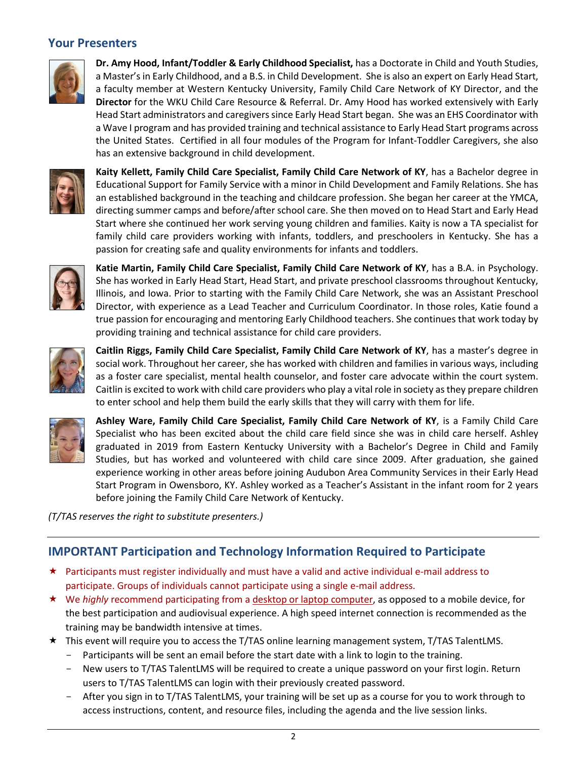## **Your Presenters**



**Dr. Amy Hood, Infant/Toddler & Early Childhood Specialist,** has a Doctorate in Child and Youth Studies, a Master's in Early Childhood, and a B.S. in Child Development. She is also an expert on Early Head Start, a faculty member at Western Kentucky University, Family Child Care Network of KY Director, and the **Director** for the WKU Child Care Resource & Referral. Dr. Amy Hood has worked extensively with Early Head Start administrators and caregivers since Early Head Start began. She was an EHS Coordinator with a Wave I program and has provided training and technical assistance to Early Head Start programs across the United States. Certified in all four modules of the Program for Infant-Toddler Caregivers, she also has an extensive background in child development.



**Kaity Kellett, Family Child Care Specialist, Family Child Care Network of KY**, has a Bachelor degree in Educational Support for Family Service with a minor in Child Development and Family Relations. She has an established background in the teaching and childcare profession. She began her career at the YMCA, directing summer camps and before/after school care. She then moved on to Head Start and Early Head Start where she continued her work serving young children and families. Kaity is now a TA specialist for family child care providers working with infants, toddlers, and preschoolers in Kentucky. She has a passion for creating safe and quality environments for infants and toddlers.



**Katie Martin, Family Child Care Specialist, Family Child Care Network of KY**, has a B.A. in Psychology. She has worked in Early Head Start, Head Start, and private preschool classrooms throughout Kentucky, Illinois, and Iowa. Prior to starting with the Family Child Care Network, she was an Assistant Preschool Director, with experience as a Lead Teacher and Curriculum Coordinator. In those roles, Katie found a true passion for encouraging and mentoring Early Childhood teachers. She continues that work today by providing training and technical assistance for child care providers.



**Caitlin Riggs, Family Child Care Specialist, Family Child Care Network of KY**, has a master's degree in social work. Throughout her career, she has worked with children and families in various ways, including as a foster care specialist, mental health counselor, and foster care advocate within the court system. Caitlin is excited to work with child care providers who play a vital role in society as they prepare children to enter school and help them build the early skills that they will carry with them for life.



**Ashley Ware, Family Child Care Specialist, Family Child Care Network of KY**, is a Family Child Care Specialist who has been excited about the child care field since she was in child care herself. Ashley graduated in 2019 from Eastern Kentucky University with a Bachelor's Degree in Child and Family Studies, but has worked and volunteered with child care since 2009. After graduation, she gained experience working in other areas before joining Audubon Area Community Services in their Early Head Start Program in Owensboro, KY. Ashley worked as a Teacher's Assistant in the infant room for 2 years before joining the Family Child Care Network of Kentucky.

*(T/TAS reserves the right to substitute presenters.)*

## **IMPORTANT Participation and Technology Information Required to Participate**

- $\star$  Participants must register individually and must have a valid and active individual e-mail address to participate. Groups of individuals cannot participate using a single e-mail address.
- ★ We *highly* recommend participating from a desktop or laptop computer, as opposed to a mobile device, for the best participation and audiovisual experience. A high speed internet connection is recommended as the training may be bandwidth intensive at times.
- This event will require you to access the T/TAS online learning management system, T/TAS TalentLMS.
	- Participants will be sent an email before the start date with a link to login to the training.
	- New users to T/TAS TalentLMS will be required to create a unique password on your first login. Return users to T/TAS TalentLMS can login with their previously created password.
	- After you sign in to T/TAS TalentLMS, your training will be set up as a course for you to work through to access instructions, content, and resource files, including the agenda and the live session links.